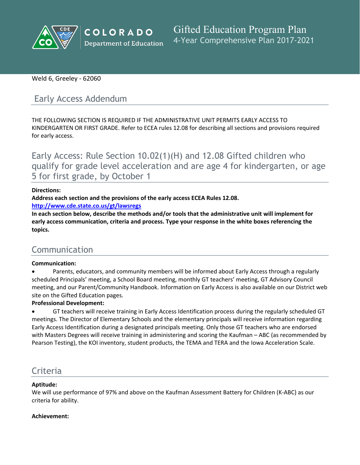

## Weld 6, Greeley - 62060

# Early Access Addendum

THE FOLLOWING SECTION IS REQUIRED IF THE ADMINISTRATIVE UNIT PERMITS EARLY ACCESS TO KINDERGARTEN OR FIRST GRADE. Refer to ECEA rules 12.08 for describing all sections and provisions required for early access.

Early Access: Rule Section 10.02(1)(H) and 12.08 Gifted children who qualify for grade level acceleration and are age 4 for kindergarten, or age 5 for first grade, by October 1

#### **Directions:**

**Address each section and the provisions of the early access ECEA Rules 12.08.**

**<http://www.cde.state.co.us/gt/lawsregs>**

**In each section below, describe the methods and/or tools that the administrative unit will implement for early access communication, criteria and process. Type your response in the white boxes referencing the topics.**

# Communication

#### **Communication:**

 Parents, educators, and community members will be informed about Early Access through a regularly scheduled Principals' meeting, a School Board meeting, monthly GT teachers' meeting, GT Advisory Council meeting, and our Parent/Community Handbook. Information on Early Access is also available on our District web site on the Gifted Education pages.

#### **Professional Development:**

 GT teachers will receive training in Early Access Identification process during the regularly scheduled GT meetings. The Director of Elementary Schools and the elementary principals will receive information regarding Early Access Identification during a designated principals meeting. Only those GT teachers who are endorsed with Masters Degrees will receive training in administering and scoring the Kaufman – ABC (as recommended by Pearson Testing), the KOI inventory, student products, the TEMA and TERA and the Iowa Acceleration Scale.

# **Criteria**

## **Aptitude:**

We will use performance of 97% and above on the Kaufman Assessment Battery for Children (K-ABC) as our criteria for ability.

#### **Achievement:**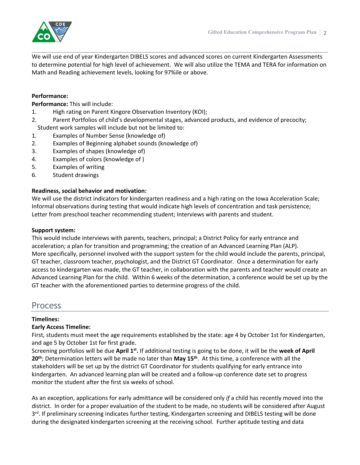

We will use end of year Kindergarten DIBELS scores and advanced scores on current Kindergarten Assessments to determine potential for high level of achievement. We will also utilize the TEMA and TERA for information on Math and Reading achievement levels, looking for 97%ile or above.

#### **Performance:**

**Performance:** This will include:

- 1. High rating on Parent Kingore Observation Inventory (KOI);
- 2. Parent Portfolios of child's developmental stages, advanced products, and evidence of precocity; Student work samples will include but not be limited to:
- 1. Examples of Number Sense (knowledge of)
- 2. Examples of Beginning alphabet sounds (knowledge of)
- 3. Examples of shapes (knowledge of)
- 4. Examples of colors (knowledge of )
- 5. Examples of writing
- 6. Student drawings

#### **Readiness, social behavior and motivation:**

We will use the district indicators for kindergarten readiness and a high rating on the Iowa Acceleration Scale; Informal observations during testing that would indicate high levels of concentration and task persistence; Letter from preschool teacher recommending student; Interviews with parents and student.

#### **Support system:**

This would include interviews with parents, teachers, principal; a District Policy for early entrance and acceleration; a plan for transition and programming; the creation of an Advanced Learning Plan (ALP). More specifically, personnel involved with the support system for the child would include the parents, principal, GT teacher, classroom teacher, psychologist, and the District GT Coordinator. Once a determination for early access to kindergarten was made, the GT teacher, in collaboration with the parents and teacher would create an Advanced Learning Plan for the child. Within 6 weeks of the determination, a conference would be set up by the GT teacher with the aforementioned parties to determine progress of the child.

## Process

#### **Timelines:**

#### **Early Access Timeline:**

First, students must meet the age requirements established by the state: age 4 by October 1st for Kindergarten, and age 5 by October 1st for first grade.

Screening portfolios will be due April 1st. If additional testing is going to be done, it will be the week of April **20th**; Determination letters will be made no later than **May 15th** . At this time, a conference with all the stakeholders will be set up by the district GT Coordinator for students qualifying for early entrance into kindergarten. An advanced learning plan will be created and a follow-up conference date set to progress monitor the student after the first six weeks of school.

As an exception, applications for early admittance will be considered only *if* a child has recently moved into the district. In order for a proper evaluation of the student to be made, no students will be considered after August 3<sup>rd</sup>. If preliminary screening indicates further testing, Kindergarten screening and DIBELS testing will be done during the designated kindergarten screening at the receiving school. Further aptitude testing and data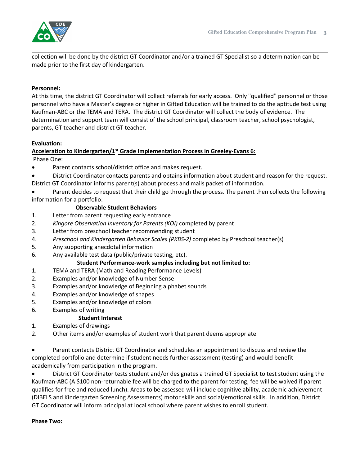

collection will be done by the district GT Coordinator and/or a trained GT Specialist so a determination can be made prior to the first day of kindergarten.

#### **Personnel:**

At this time, the district GT Coordinator will collect referrals for early access. Only "qualified" personnel or those personnel who have a Master's degree or higher in Gifted Education will be trained to do the aptitude test using Kaufman-ABC or the TEMA and TERA. The district GT Coordinator will collect the body of evidence. The determination and support team will consist of the school principal, classroom teacher, school psychologist, parents, GT teacher and district GT teacher.

## **Evaluation:**

## **Acceleration to Kindergarten/1st Grade Implementation Process in Greeley-Evans 6:**

Phase One:

- Parent contacts school/district office and makes request.
- District Coordinator contacts parents and obtains information about student and reason for the request.
- District GT Coordinator informs parent(s) about process and mails packet of information.

 Parent decides to request that their child go through the process. The parent then collects the following information for a portfolio:

#### **Observable Student Behaviors**

- 1. Letter from parent requesting early entrance
- 2. *Kingore Observation Inventory for Parents (KOI)* completed by parent
- 3. Letter from preschool teacher recommending student
- 4. *Preschool and Kindergarten Behavior Scales (PKBS-2)* completed by Preschool teacher(s)
- 5. Any supporting anecdotal information
- 6. Any available test data (public/private testing, etc).

#### **Student Performance-work samples including but not limited to:**

- 1. TEMA and TERA (Math and Reading Performance Levels)
- 2. Examples and/or knowledge of Number Sense
- 3. Examples and/or knowledge of Beginning alphabet sounds
- 4. Examples and/or knowledge of shapes
- 5. Examples and/or knowledge of colors
- 6. Examples of writing

#### **Student Interest**

- 1. Examples of drawings
- 2. Other items and/or examples of student work that parent deems appropriate

 Parent contacts District GT Coordinator and schedules an appointment to discuss and review the completed portfolio and determine if student needs further assessment (testing) and would benefit academically from participation in the program.

 District GT Coordinator tests student and/or designates a trained GT Specialist to test student using the Kaufman-ABC (A \$100 non-returnable fee will be charged to the parent for testing; fee will be waived if parent qualifies for free and reduced lunch). Areas to be assessed will include cognitive ability, academic achievement (DIBELS and Kindergarten Screening Assessments) motor skills and social/emotional skills. In addition, District GT Coordinator will inform principal at local school where parent wishes to enroll student.

#### **Phase Two:**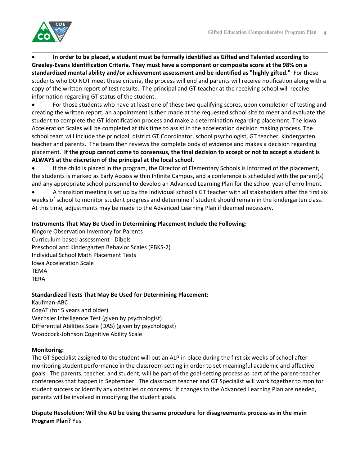

 **In order to be placed, a student must be formally identified as Gifted and Talented according to Greeley-Evans Identification Criteria. They must have a component or composite score at the 98% on a standardized mental ability and/or achievement assessment and be identified as "highly gifted."** For those students who DO NOT meet these criteria, the process will end and parents will receive notification along with a copy of the written report of test results. The principal and GT teacher at the receiving school will receive information regarding GT status of the student.

 For those students who have at least one of these two qualifying scores, upon completion of testing and creating the written report, an appointment is then made at the requested school site to meet and evaluate the student to complete the GT identification process and make a determination regarding placement. The Iowa Acceleration Scales will be completed at this time to assist in the acceleration decision making process. The school team will include the principal, district GT Coordinator, school psychologist, GT teacher, kindergarten teacher and parents. The team then reviews the complete body of evidence and makes a decision regarding placement. If the group cannot come to consensus, the final decision to accept or not to accept a student is **ALWAYS at the discretion of the principal at the local school.**

 If the child is placed in the program, the Director of Elementary Schools is informed of the placement, the students is marked as Early Access within Infinite Campus, and a conference is scheduled with the parent(s) and any appropriate school personnel to develop an Advanced Learning Plan for the school year of enrollment.

 A transition meeting is set up by the individual school's GT teacher with all stakeholders after the first six weeks of school to monitor student progress and determine if student should remain in the kindergarten class. At this time, adjustments may be made to the Advanced Learning Plan if deemed necessary.

#### **Instruments That May Be Used in Determining Placement Include the Following:**

Kingore Observation Inventory for Parents Curriculum based assessment - Dibels Preschool and Kindergarten Behavior Scales (PBKS-2) Individual School Math Placement Tests Iowa Acceleration Scale TEMA TERA

#### **Standardized Tests That May Be Used for Determining Placement:**

Kaufman-ABC CogAT (for 5 years and older) Wechsler Intelligence Test (given by psychologist) Differential Abilities Scale (DAS) (given by psychologist) Woodcock-Johnson Cognitive Ability Scale

#### **Monitoring:**

The GT Specialist assigned to the student will put an ALP in place during the first six weeks of school after monitoring student performance in the classroom setting in order to set meaningful academic and affective goals. The parents, teacher, and student, will be part of the goal-setting process as part of the parent-teacher conferences that happen in September. The classroom teacher and GT Specialist will work together to monitor student success or identify any obstacles or concerns. If changes to the Advanced Learning Plan are needed, parents will be involved in modifying the student goals.

**Dispute Resolution: Will the AU be using the same procedure for disagreements process as in the main Program Plan?** Yes